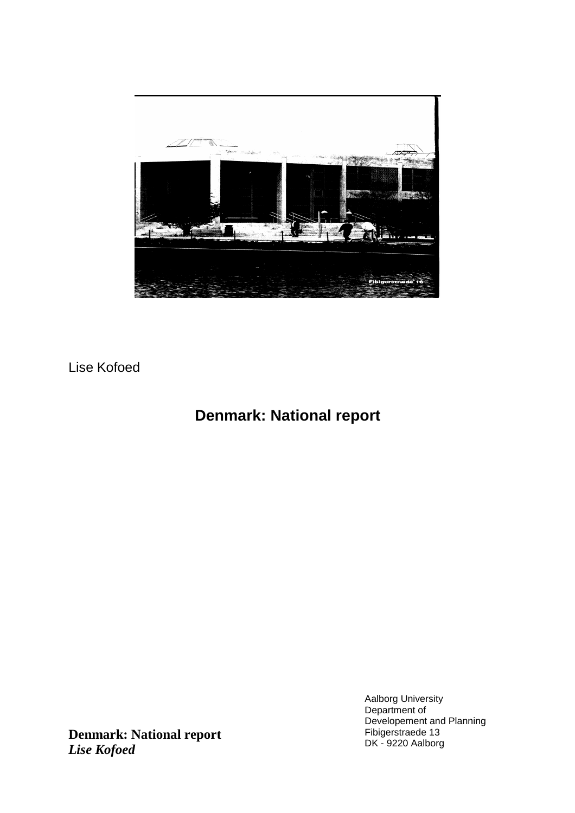

Lise Kofoed

# **Denmark: National report**

Aalborg University Department of Developement and Planning Fibigerstraede 13 DK - 9220 Aalborg

**Denmark: National report** *Lise Kofoed*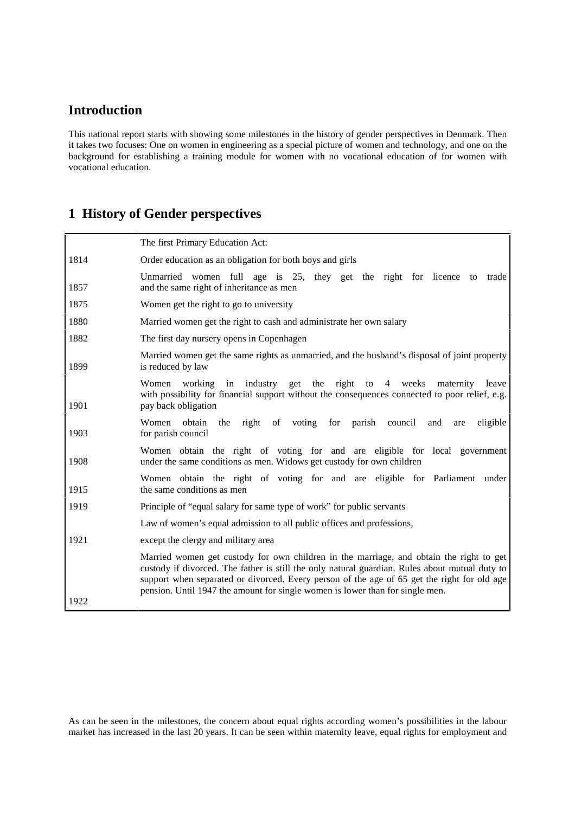# **Introduction**

This national report starts with showing some milestones in the history of gender perspectives in Denmark. Then it takes two focuses: One on women in engineering as a special picture of women and technology, and one on the background for establishing a training module for women with no vocational education of for women with vocational education.

# **1 History of Gender perspectives**

|      | The first Primary Education Act:                                                                                                                                                                                                                                                                                                                                          |  |  |
|------|---------------------------------------------------------------------------------------------------------------------------------------------------------------------------------------------------------------------------------------------------------------------------------------------------------------------------------------------------------------------------|--|--|
| 1814 | Order education as an obligation for both boys and girls                                                                                                                                                                                                                                                                                                                  |  |  |
| 1857 | Unmarried women full age is 25, they get the right for licence to trade<br>and the same right of inheritance as men                                                                                                                                                                                                                                                       |  |  |
| 1875 | Women get the right to go to university                                                                                                                                                                                                                                                                                                                                   |  |  |
| 1880 | Married women get the right to cash and administrate her own salary                                                                                                                                                                                                                                                                                                       |  |  |
| 1882 | The first day nursery opens in Copenhagen                                                                                                                                                                                                                                                                                                                                 |  |  |
| 1899 | Married women get the same rights as unmarried, and the husband's disposal of joint property<br>is reduced by law                                                                                                                                                                                                                                                         |  |  |
| 1901 | Women working<br>in<br>industry get the right to 4 weeks<br>maternity<br>leave<br>with possibility for financial support without the consequences connected to poor relief, e.g.<br>pay back obligation                                                                                                                                                                   |  |  |
| 1903 | Women obtain the right of voting for parish council<br>and<br>eligible<br>are<br>for parish council                                                                                                                                                                                                                                                                       |  |  |
| 1908 | Women obtain the right of voting for and are eligible for local government<br>under the same conditions as men. Widows get custody for own children                                                                                                                                                                                                                       |  |  |
| 1915 | Women obtain the right of voting for and are eligible for Parliament under<br>the same conditions as men                                                                                                                                                                                                                                                                  |  |  |
| 1919 | Principle of "equal salary for same type of work" for public servants                                                                                                                                                                                                                                                                                                     |  |  |
|      | Law of women's equal admission to all public offices and professions,                                                                                                                                                                                                                                                                                                     |  |  |
| 1921 | except the clergy and military area                                                                                                                                                                                                                                                                                                                                       |  |  |
|      | Married women get custody for own children in the marriage, and obtain the right to get<br>custody if divorced. The father is still the only natural guardian. Rules about mutual duty to<br>support when separated or divorced. Every person of the age of 65 get the right for old age<br>pension. Until 1947 the amount for single women is lower than for single men. |  |  |
| 1922 |                                                                                                                                                                                                                                                                                                                                                                           |  |  |

As can be seen in the milestones, the concern about equal rights according women's possibilities in the labour market has increased in the last 20 years. It can be seen within maternity leave, equal rights for employment and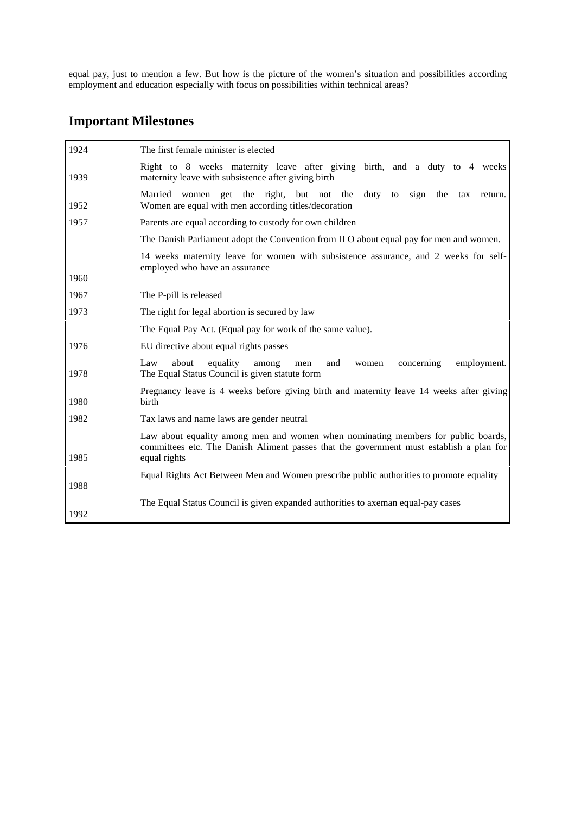equal pay, just to mention a few. But how is the picture of the women's situation and possibilities according employment and education especially with focus on possibilities within technical areas?

# **Important Milestones**

| 1924 | The first female minister is elected                                                                                                                                                         |
|------|----------------------------------------------------------------------------------------------------------------------------------------------------------------------------------------------|
| 1939 | Right to 8 weeks maternity leave after giving birth, and a duty to 4 weeks<br>maternity leave with subsistence after giving birth                                                            |
| 1952 | Married women get the right, but not the<br>duty<br>sign<br>the tax<br>to<br>return.<br>Women are equal with men according titles/decoration                                                 |
| 1957 | Parents are equal according to custody for own children                                                                                                                                      |
|      | The Danish Parliament adopt the Convention from ILO about equal pay for men and women.                                                                                                       |
|      | 14 weeks maternity leave for women with subsistence assurance, and 2 weeks for self-<br>employed who have an assurance                                                                       |
| 1960 |                                                                                                                                                                                              |
| 1967 | The P-pill is released                                                                                                                                                                       |
| 1973 | The right for legal abortion is secured by law                                                                                                                                               |
|      | The Equal Pay Act. (Equal pay for work of the same value).                                                                                                                                   |
| 1976 | EU directive about equal rights passes                                                                                                                                                       |
| 1978 | about<br>equality<br>Law<br>among<br>and<br>concerning<br>employment.<br>men<br>women<br>The Equal Status Council is given statute form                                                      |
| 1980 | Pregnancy leave is 4 weeks before giving birth and maternity leave 14 weeks after giving<br><b>birth</b>                                                                                     |
| 1982 | Tax laws and name laws are gender neutral                                                                                                                                                    |
| 1985 | Law about equality among men and women when nominating members for public boards,<br>committees etc. The Danish Aliment passes that the government must establish a plan for<br>equal rights |
|      | Equal Rights Act Between Men and Women prescribe public authorities to promote equality                                                                                                      |
| 1988 |                                                                                                                                                                                              |
|      | The Equal Status Council is given expanded authorities to axeman equal-pay cases                                                                                                             |
| 1992 |                                                                                                                                                                                              |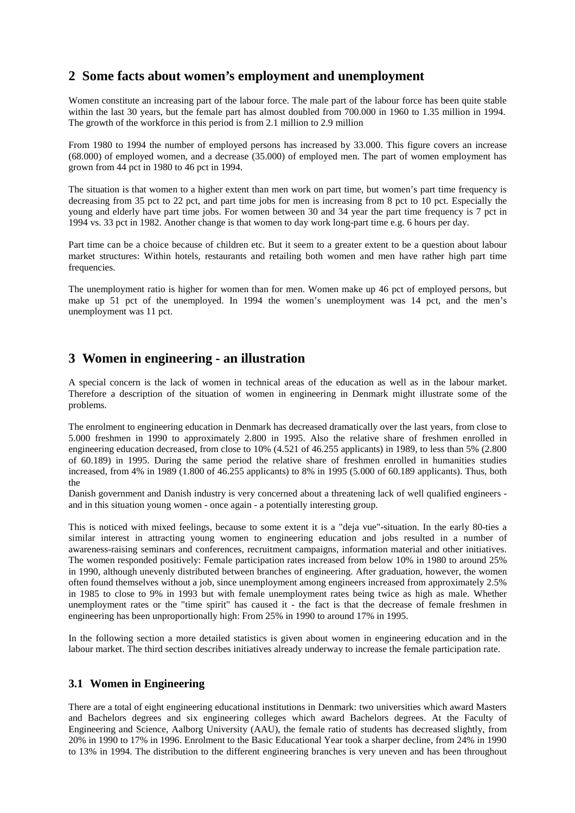# **2 Some facts about women's employment and unemployment**

Women constitute an increasing part of the labour force. The male part of the labour force has been quite stable within the last 30 years, but the female part has almost doubled from 700.000 in 1960 to 1.35 million in 1994. The growth of the workforce in this period is from 2.1 million to 2.9 million

From 1980 to 1994 the number of employed persons has increased by 33.000. This figure covers an increase (68.000) of employed women, and a decrease (35.000) of employed men. The part of women employment has grown from 44 pct in 1980 to 46 pct in 1994.

The situation is that women to a higher extent than men work on part time, but women's part time frequency is decreasing from 35 pct to 22 pct, and part time jobs for men is increasing from 8 pct to 10 pct. Especially the young and elderly have part time jobs. For women between 30 and 34 year the part time frequency is 7 pct in 1994 vs. 33 pct in 1982. Another change is that women to day work long-part time e.g. 6 hours per day.

Part time can be a choice because of children etc. But it seem to a greater extent to be a question about labour market structures: Within hotels, restaurants and retailing both women and men have rather high part time frequencies.

The unemployment ratio is higher for women than for men. Women make up 46 pct of employed persons, but make up 51 pct of the unemployed. In 1994 the women's unemployment was 14 pct, and the men's unemployment was 11 pct.

## **3 Women in engineering - an illustration**

A special concern is the lack of women in technical areas of the education as well as in the labour market. Therefore a description of the situation of women in engineering in Denmark might illustrate some of the problems.

The enrolment to engineering education in Denmark has decreased dramatically over the last years, from close to 5.000 freshmen in 1990 to approximately 2.800 in 1995. Also the relative share of freshmen enrolled in engineering education decreased, from close to 10% (4.521 of 46.255 applicants) in 1989, to less than 5% (2.800 of 60.189) in 1995. During the same period the relative share of freshmen enrolled in humanities studies increased, from 4% in 1989 (1.800 of 46.255 applicants) to 8% in 1995 (5.000 of 60.189 applicants). Thus, both the

Danish government and Danish industry is very concerned about a threatening lack of well qualified engineers and in this situation young women - once again - a potentially interesting group.

This is noticed with mixed feelings, because to some extent it is a "deja vue"-situation. In the early 80-ties a similar interest in attracting young women to engineering education and jobs resulted in a number of awareness-raising seminars and conferences, recruitment campaigns, information material and other initiatives. The women responded positively: Female participation rates increased from below 10% in 1980 to around 25% in 1990, although unevenly distributed between branches of engineering. After graduation, however, the women often found themselves without a job, since unemployment among engineers increased from approximately 2.5% in 1985 to close to 9% in 1993 but with female unemployment rates being twice as high as male. Whether unemployment rates or the "time spirit" has caused it - the fact is that the decrease of female freshmen in engineering has been unproportionally high: From 25% in 1990 to around 17% in 1995.

In the following section a more detailed statistics is given about women in engineering education and in the labour market. The third section describes initiatives already underway to increase the female participation rate.

### **3.1 Women in Engineering**

There are a total of eight engineering educational institutions in Denmark: two universities which award Masters and Bachelors degrees and six engineering colleges which award Bachelors degrees. At the Faculty of Engineering and Science, Aalborg University (AAU), the female ratio of students has decreased slightly, from 20% in 1990 to 17% in 1996. Enrolment to the Basic Educational Year took a sharper decline, from 24% in 1990 to 13% in 1994. The distribution to the different engineering branches is very uneven and has been throughout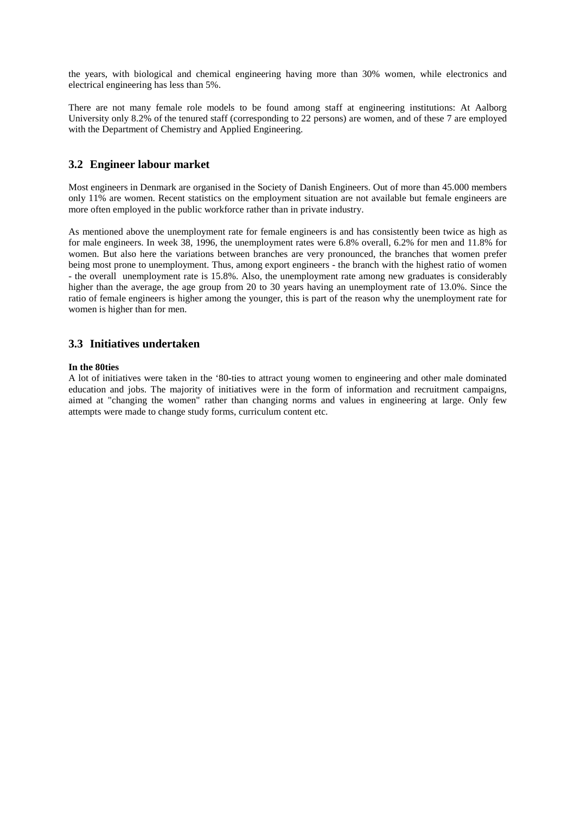the years, with biological and chemical engineering having more than 30% women, while electronics and electrical engineering has less than 5%.

There are not many female role models to be found among staff at engineering institutions: At Aalborg University only 8.2% of the tenured staff (corresponding to 22 persons) are women, and of these 7 are employed with the Department of Chemistry and Applied Engineering.

### **3.2 Engineer labour market**

Most engineers in Denmark are organised in the Society of Danish Engineers. Out of more than 45.000 members only 11% are women. Recent statistics on the employment situation are not available but female engineers are more often employed in the public workforce rather than in private industry.

As mentioned above the unemployment rate for female engineers is and has consistently been twice as high as for male engineers. In week 38, 1996, the unemployment rates were 6.8% overall, 6.2% for men and 11.8% for women. But also here the variations between branches are very pronounced, the branches that women prefer being most prone to unemployment. Thus, among export engineers - the branch with the highest ratio of women - the overall unemployment rate is 15.8%. Also, the unemployment rate among new graduates is considerably higher than the average, the age group from 20 to 30 years having an unemployment rate of 13.0%. Since the ratio of female engineers is higher among the younger, this is part of the reason why the unemployment rate for women is higher than for men.

### **3.3 Initiatives undertaken**

#### **In the 80ties**

A lot of initiatives were taken in the '80-ties to attract young women to engineering and other male dominated education and jobs. The majority of initiatives were in the form of information and recruitment campaigns, aimed at "changing the women" rather than changing norms and values in engineering at large. Only few attempts were made to change study forms, curriculum content etc.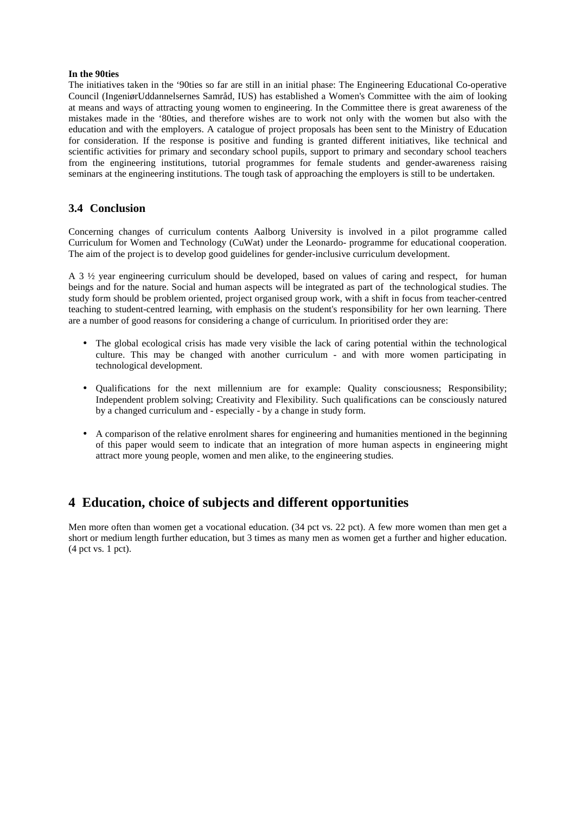#### **In the 90ties**

The initiatives taken in the '90ties so far are still in an initial phase: The Engineering Educational Co-operative Council (IngeniørUddannelsernes Samråd, IUS) has established a Women's Committee with the aim of looking at means and ways of attracting young women to engineering. In the Committee there is great awareness of the mistakes made in the '80ties, and therefore wishes are to work not only with the women but also with the education and with the employers. A catalogue of project proposals has been sent to the Ministry of Education for consideration. If the response is positive and funding is granted different initiatives, like technical and scientific activities for primary and secondary school pupils, support to primary and secondary school teachers from the engineering institutions, tutorial programmes for female students and gender-awareness raising seminars at the engineering institutions. The tough task of approaching the employers is still to be undertaken.

### **3.4 Conclusion**

Concerning changes of curriculum contents Aalborg University is involved in a pilot programme called Curriculum for Women and Technology (CuWat) under the Leonardo- programme for educational cooperation. The aim of the project is to develop good guidelines for gender-inclusive curriculum development.

A 3 ½ year engineering curriculum should be developed, based on values of caring and respect, for human beings and for the nature. Social and human aspects will be integrated as part of the technological studies. The study form should be problem oriented, project organised group work, with a shift in focus from teacher-centred teaching to student-centred learning, with emphasis on the student's responsibility for her own learning. There are a number of good reasons for considering a change of curriculum. In prioritised order they are:

- The global ecological crisis has made very visible the lack of caring potential within the technological culture. This may be changed with another curriculum - and with more women participating in technological development.
- Qualifications for the next millennium are for example: Quality consciousness; Responsibility; Independent problem solving; Creativity and Flexibility. Such qualifications can be consciously natured by a changed curriculum and - especially - by a change in study form.
- A comparison of the relative enrolment shares for engineering and humanities mentioned in the beginning of this paper would seem to indicate that an integration of more human aspects in engineering might attract more young people, women and men alike, to the engineering studies.

# **4 Education, choice of subjects and different opportunities**

Men more often than women get a vocational education. (34 pct vs. 22 pct). A few more women than men get a short or medium length further education, but 3 times as many men as women get a further and higher education. (4 pct vs. 1 pct).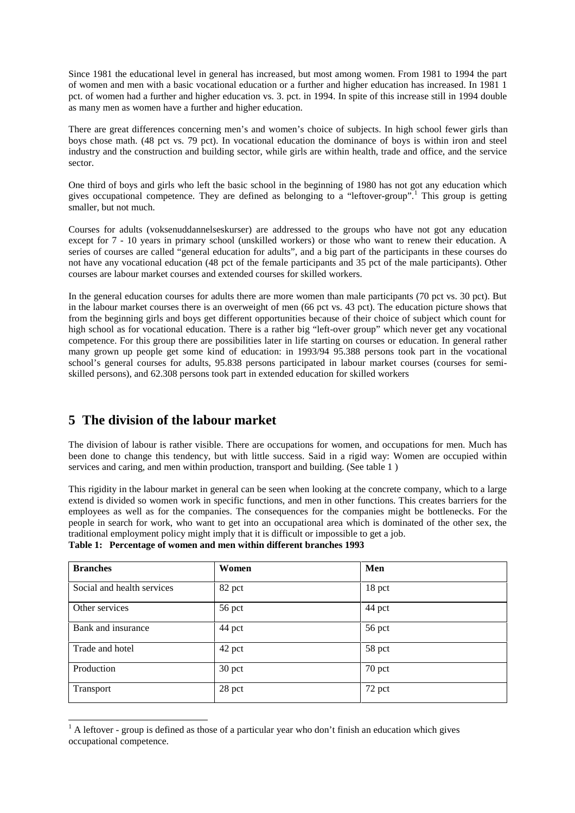Since 1981 the educational level in general has increased, but most among women. From 1981 to 1994 the part of women and men with a basic vocational education or a further and higher education has increased. In 1981 1 pct. of women had a further and higher education vs. 3. pct. in 1994. In spite of this increase still in 1994 double as many men as women have a further and higher education.

There are great differences concerning men's and women's choice of subjects. In high school fewer girls than boys chose math. (48 pct vs. 79 pct). In vocational education the dominance of boys is within iron and steel industry and the construction and building sector, while girls are within health, trade and office, and the service sector.

One third of boys and girls who left the basic school in the beginning of 1980 has not got any education which gives occupational competence. They are defined as belonging to a "leftover-group".<sup>1</sup> This group is getting smaller, but not much.

Courses for adults (voksenuddannelseskurser) are addressed to the groups who have not got any education except for 7 - 10 years in primary school (unskilled workers) or those who want to renew their education. A series of courses are called "general education for adults", and a big part of the participants in these courses do not have any vocational education (48 pct of the female participants and 35 pct of the male participants). Other courses are labour market courses and extended courses for skilled workers.

In the general education courses for adults there are more women than male participants (70 pct vs. 30 pct). But in the labour market courses there is an overweight of men (66 pct vs. 43 pct). The education picture shows that from the beginning girls and boys get different opportunities because of their choice of subject which count for high school as for vocational education. There is a rather big "left-over group" which never get any vocational competence. For this group there are possibilities later in life starting on courses or education. In general rather many grown up people get some kind of education: in 1993/94 95.388 persons took part in the vocational school's general courses for adults, 95.838 persons participated in labour market courses (courses for semiskilled persons), and 62.308 persons took part in extended education for skilled workers

## **5 The division of the labour market**

 $\overline{a}$ 

The division of labour is rather visible. There are occupations for women, and occupations for men. Much has been done to change this tendency, but with little success. Said in a rigid way: Women are occupied within services and caring, and men within production, transport and building. (See table 1 )

This rigidity in the labour market in general can be seen when looking at the concrete company, which to a large extend is divided so women work in specific functions, and men in other functions. This creates barriers for the employees as well as for the companies. The consequences for the companies might be bottlenecks. For the people in search for work, who want to get into an occupational area which is dominated of the other sex, the traditional employment policy might imply that it is difficult or impossible to get a job. **Table 1: Percentage of women and men within different branches 1993**

| <b>Branches</b>            | Women  | Men    |
|----------------------------|--------|--------|
| Social and health services | 82 pct | 18 pct |
| Other services             | 56 pct | 44 pct |
| Bank and insurance         | 44 pct | 56 pct |
| Trade and hotel            | 42 pct | 58 pct |
| Production                 | 30 pct | 70 pct |
| Transport                  | 28 pct | 72 pct |

 $<sup>1</sup>$  A leftover - group is defined as those of a particular year who don't finish an education which gives</sup> occupational competence.